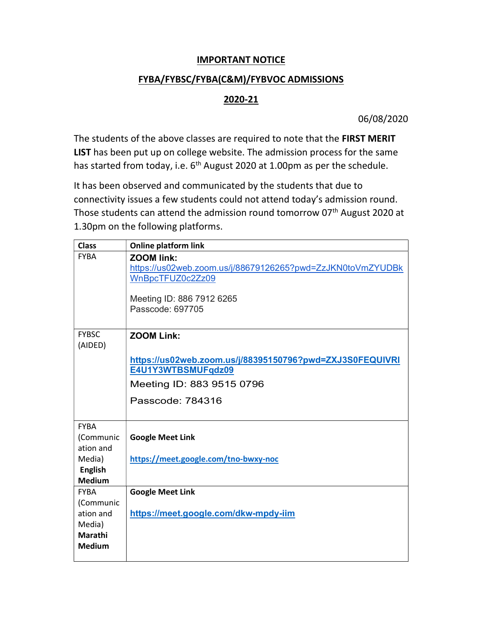## IMPORTANT NOTICE

## FYBA/FYBSC/FYBA(C&M)/FYBVOC ADMISSIONS

## 2020-21

06/08/2020

The students of the above classes are required to note that the FIRST MERIT LIST has been put up on college website. The admission process for the same has started from today, i.e.  $6<sup>th</sup>$  August 2020 at 1.00pm as per the schedule.

It has been observed and communicated by the students that due to connectivity issues a few students could not attend today's admission round. Those students can attend the admission round tomorrow  $07<sup>th</sup>$  August 2020 at 1.30pm on the following platforms.

| <b>Class</b>             | <b>Online platform link</b>                                                                                                                          |
|--------------------------|------------------------------------------------------------------------------------------------------------------------------------------------------|
| <b>FYBA</b>              | <b>ZOOM link:</b><br>https://us02web.zoom.us/j/88679126265?pwd=ZzJKN0toVmZYUDBk<br>WnBpcTFUZ0c2Zz09<br>Meeting ID: 886 7912 6265<br>Passcode: 697705 |
|                          |                                                                                                                                                      |
| <b>FYBSC</b><br>(AIDED)  | <b>ZOOM Link:</b>                                                                                                                                    |
|                          | https://us02web.zoom.us/j/88395150796?pwd=ZXJ3S0FEQUIVRI                                                                                             |
|                          | E4U1Y3WTBSMUFqdz09                                                                                                                                   |
|                          | Meeting ID: 883 9515 0796                                                                                                                            |
|                          | Passcode: 784316                                                                                                                                     |
| <b>FYBA</b>              |                                                                                                                                                      |
| (Communic                | <b>Google Meet Link</b>                                                                                                                              |
| ation and                |                                                                                                                                                      |
| Media)                   | https://meet.google.com/tno-bwxy-noc                                                                                                                 |
| <b>English</b>           |                                                                                                                                                      |
| <b>Medium</b>            |                                                                                                                                                      |
| <b>FYBA</b><br>(Communic | <b>Google Meet Link</b>                                                                                                                              |
| ation and                | https://meet.google.com/dkw-mpdy-iim                                                                                                                 |
| Media)                   |                                                                                                                                                      |
| Marathi                  |                                                                                                                                                      |
| <b>Medium</b>            |                                                                                                                                                      |
|                          |                                                                                                                                                      |